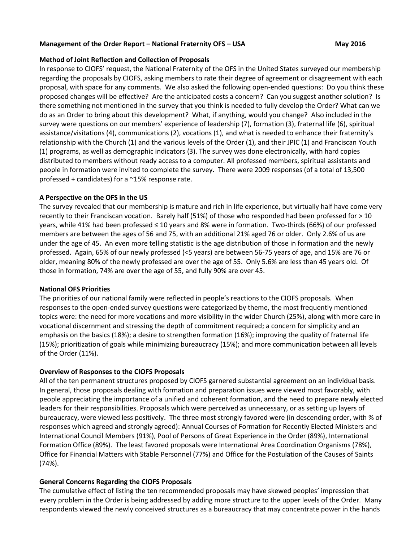## **Management of the Order Report – National Fraternity OFS – USA May 2016**

### **Method of Joint Reflection and Collection of Proposals**

In response to CIOFS' request, the National Fraternity of the OFS in the United States surveyed our membership regarding the proposals by CIOFS, asking members to rate their degree of agreement or disagreement with each proposal, with space for any comments. We also asked the following open-ended questions: Do you think these proposed changes will be effective? Are the anticipated costs a concern? Can you suggest another solution? Is there something not mentioned in the survey that you think is needed to fully develop the Order? What can we do as an Order to bring about this development? What, if anything, would you change? Also included in the survey were questions on our members' experience of leadership (7), formation (3), fraternal life (6), spiritual assistance/visitations (4), communications (2), vocations (1), and what is needed to enhance their fraternity's relationship with the Church (1) and the various levels of the Order (1), and their JPIC (1) and Franciscan Youth (1) programs, as well as demographic indicators (3). The survey was done electronically, with hard copies distributed to members without ready access to a computer. All professed members, spiritual assistants and people in formation were invited to complete the survey. There were 2009 responses (of a total of 13,500 professed + candidates) for a ~15% response rate.

## **A Perspective on the OFS in the US**

The survey revealed that our membership is mature and rich in life experience, but virtually half have come very recently to their Franciscan vocation. Barely half (51%) of those who responded had been professed for > 10 years, while 41% had been professed ≤ 10 years and 8% were in formation. Two-thirds (66%) of our professed members are between the ages of 56 and 75, with an additional 21% aged 76 or older. Only 2.6% of us are under the age of 45. An even more telling statistic is the age distribution of those in formation and the newly professed. Again, 65% of our newly professed (<5 years) are between 56-75 years of age, and 15% are 76 or older, meaning 80% of the newly professed are over the age of 55. Only 5.6% are less than 45 years old. Of those in formation, 74% are over the age of 55, and fully 90% are over 45.

#### **National OFS Priorities**

The priorities of our national family were reflected in people's reactions to the CIOFS proposals. When responses to the open-ended survey questions were categorized by theme, the most frequently mentioned topics were: the need for more vocations and more visibility in the wider Church (25%), along with more care in vocational discernment and stressing the depth of commitment required; a concern for simplicity and an emphasis on the basics (18%); a desire to strengthen formation (16%); improving the quality of fraternal life (15%); prioritization of goals while minimizing bureaucracy (15%); and more communication between all levels of the Order (11%).

#### **Overview of Responses to the CIOFS Proposals**

All of the ten permanent structures proposed by CIOFS garnered substantial agreement on an individual basis. In general, those proposals dealing with formation and preparation issues were viewed most favorably, with people appreciating the importance of a unified and coherent formation, and the need to prepare newly elected leaders for their responsibilities. Proposals which were perceived as unnecessary, or as setting up layers of bureaucracy, were viewed less positively. The three most strongly favored were (in descending order, with % of responses which agreed and strongly agreed): Annual Courses of Formation for Recently Elected Ministers and International Council Members (91%), Pool of Persons of Great Experience in the Order (89%), International Formation Office (89%). The least favored proposals were International Area Coordination Organisms (78%), Office for Financial Matters with Stable Personnel (77%) and Office for the Postulation of the Causes of Saints (74%).

# **General Concerns Regarding the CIOFS Proposals**

The cumulative effect of listing the ten recommended proposals may have skewed peoples' impression that every problem in the Order is being addressed by adding more structure to the upper levels of the Order. Many respondents viewed the newly conceived structures as a bureaucracy that may concentrate power in the hands